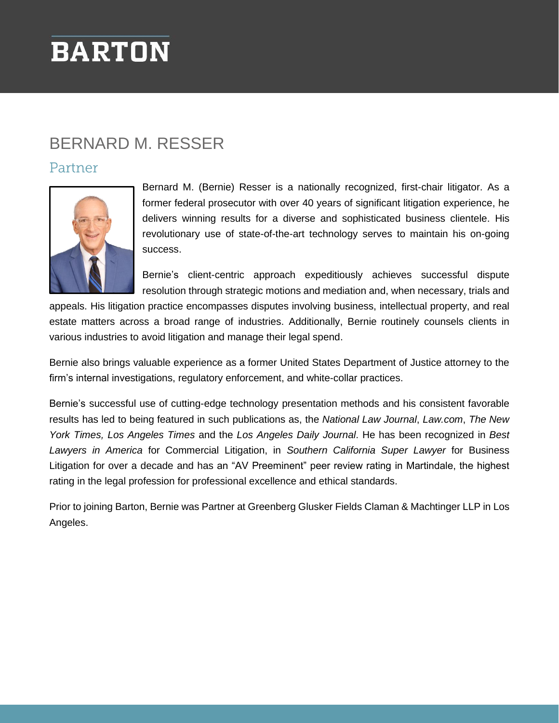# **BARTON**

### BERNARD M. RESSER

#### Partner



Bernard M. (Bernie) Resser is a nationally recognized, first-chair litigator. As a former federal prosecutor with over 40 years of significant litigation experience, he delivers winning results for a diverse and sophisticated business clientele. His revolutionary use of state-of-the-art technology serves to maintain his on-going success.

Bernie's client-centric approach expeditiously achieves successful dispute resolution through strategic motions and mediation and, when necessary, trials and

appeals. His litigation practice encompasses disputes involving business, intellectual property, and real estate matters across a broad range of industries. Additionally, Bernie routinely counsels clients in various industries to avoid litigation and manage their legal spend.

Bernie also brings valuable experience as a former United States Department of Justice attorney to the firm's internal investigations, regulatory enforcement, and white-collar practices.

Bernie's successful use of cutting-edge technology presentation methods and his consistent favorable results has led to being featured in such publications as, the *National Law Journal*, *Law.com*, *The New York Times, Los Angeles Times* and the *Los Angeles Daily Journal*. He has been recognized in *Best Lawyers in America* for Commercial Litigation, in *Southern California Super Lawyer* for Business Litigation for over a decade and has an "AV Preeminent" peer review rating in Martindale, the highest rating in the legal profession for professional excellence and ethical standards.

Prior to joining Barton, Bernie was Partner at Greenberg Glusker Fields Claman & Machtinger LLP in Los Angeles.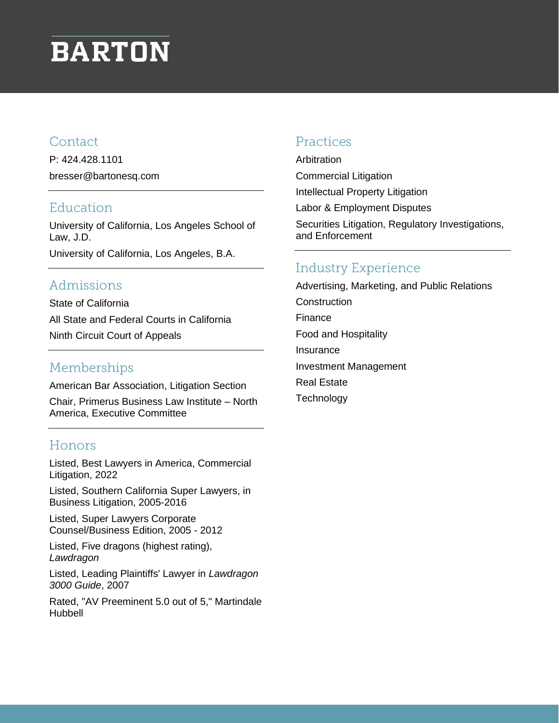# **BARTON**

#### Contact

P: 424.428.1101 bresser@bartonesq.com

#### Education

University of California, Los Angeles School of Law, J.D. University of California, Los Angeles, B.A.

### Admissions

State of California All State and Federal Courts in California Ninth Circuit Court of Appeals

#### Memberships

American Bar Association, Litigation Section

Chair, Primerus Business Law Institute – North America, Executive Committee

#### Honors

Listed, Best Lawyers in America, Commercial Litigation, 2022

Listed, Southern California Super Lawyers, in Business Litigation, 2005-2016

Listed, Super Lawyers Corporate Counsel/Business Edition, 2005 - 2012

Listed, Five dragons (highest rating), *Lawdragon*

Listed, Leading Plaintiffs' Lawyer in *Lawdragon 3000 Guide*, 2007

Rated, "AV Preeminent 5.0 out of 5," Martindale Hubbell

#### Practices

Arbitration Commercial Litigation Intellectual Property Litigation Labor & Employment Disputes

Securities Litigation, Regulatory Investigations, and Enforcement

#### **Industry Experience**

Advertising, Marketing, and Public Relations **Construction** Finance Food and Hospitality Insurance Investment Management Real Estate **Technology**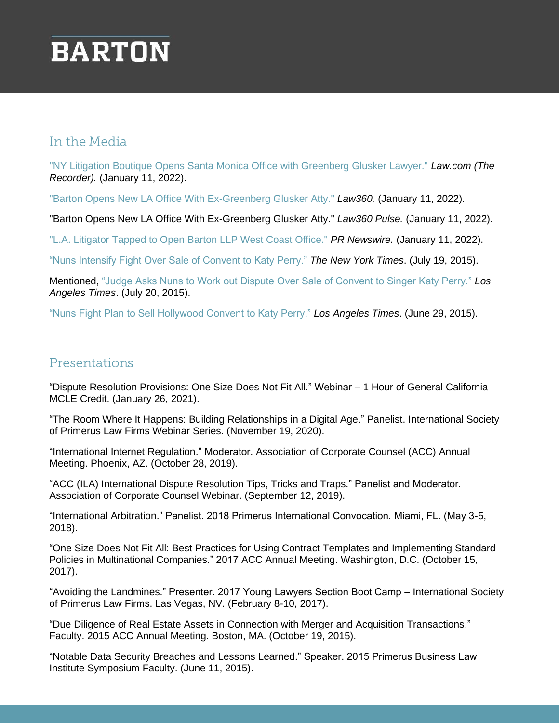# **BARTON**

#### In the Media

["NY Litigation Boutique Opens Santa Monica Office with Greenberg Glusker Lawyer."](https://www.bartonesq.com/wp-content/uploads/2022/01/LAW.COM-The-Record-NY-Litigation-Boutique-Opens-Santa-Monica-Office-with-Greenberg-Glusker-Lawyer-01.11.22.pdf) *Law.com (The [Recorder\).](https://www.bartonesq.com/wp-content/uploads/2022/01/LAW.COM-The-Record-NY-Litigation-Boutique-Opens-Santa-Monica-Office-with-Greenberg-Glusker-Lawyer-01.11.22.pdf)* (January 11, 2022).

["Barton Opens New LA Office With Ex-Greenberg Glusker Atty."](https://www.bartonesq.com/wp-content/uploads/2022/01/Barton-Opens-New-LA-Office-With-Ex-Greenberg-Glusker-Atty-Law360.pdf) *Law360.* (January 11, 2022).

"Barton Opens New LA Office With Ex-Greenberg Glusker Atty." *Law360 Pulse.* (January 11, 2022).

["L.A. Litigator Tapped to Open Barton LLP West Coast Office."](https://www.prnewswire.com/news-releases/la-litigator-tapped-to-open-barton-llp-west-coast-office-301458752.html) *PR Newswire.* (January 11, 2022).

["Nuns Intensify Fight Over Sale of Convent to Katy Perry."](https://www.greenbergglusker.com/bernard-m-resser/insights/nuns-intensify-fight-over-sale-of-convent-to-katy-perry/) *The New York Times*. (July 19, 2015).

Mentioned, ["Judge Asks Nuns to Work out Dispute Over Sale of Convent to Singer Katy Perry."](https://www.latimes.com/local/lanow/la-me-ln-convent-dispute-katy-perry-20150720-story.html) *Los Angeles Times*. (July 20, 2015).

["Nuns Fight Plan to Sell Hollywood Convent to Katy Perry."](https://www.greenbergglusker.com/bernard-m-resser/insights/nuns-fight-plan-to-sell-hollywood-convent-to-katy-perry/) *Los Angeles Times*. (June 29, 2015).

#### Presentations

"Dispute Resolution Provisions: One Size Does Not Fit All." Webinar – 1 Hour of General California MCLE Credit. (January 26, 2021).

"The Room Where It Happens: Building Relationships in a Digital Age." Panelist. International Society of Primerus Law Firms Webinar Series. (November 19, 2020).

"International Internet Regulation." Moderator. Association of Corporate Counsel (ACC) Annual Meeting. Phoenix, AZ. (October 28, 2019).

"ACC (ILA) International Dispute Resolution Tips, Tricks and Traps." Panelist and Moderator. Association of Corporate Counsel Webinar. (September 12, 2019).

"International Arbitration." Panelist. 2018 Primerus International Convocation. Miami, FL. (May 3-5, 2018).

"One Size Does Not Fit All: Best Practices for Using Contract Templates and Implementing Standard Policies in Multinational Companies." 2017 ACC Annual Meeting. Washington, D.C. (October 15, 2017).

"Avoiding the Landmines." Presenter. 2017 Young Lawyers Section Boot Camp – International Society of Primerus Law Firms. Las Vegas, NV. (February 8-10, 2017).

"Due Diligence of Real Estate Assets in Connection with Merger and Acquisition Transactions." Faculty. 2015 ACC Annual Meeting. Boston, MA. (October 19, 2015).

"Notable Data Security Breaches and Lessons Learned." Speaker. 2015 Primerus Business Law Institute Symposium Faculty. (June 11, 2015).